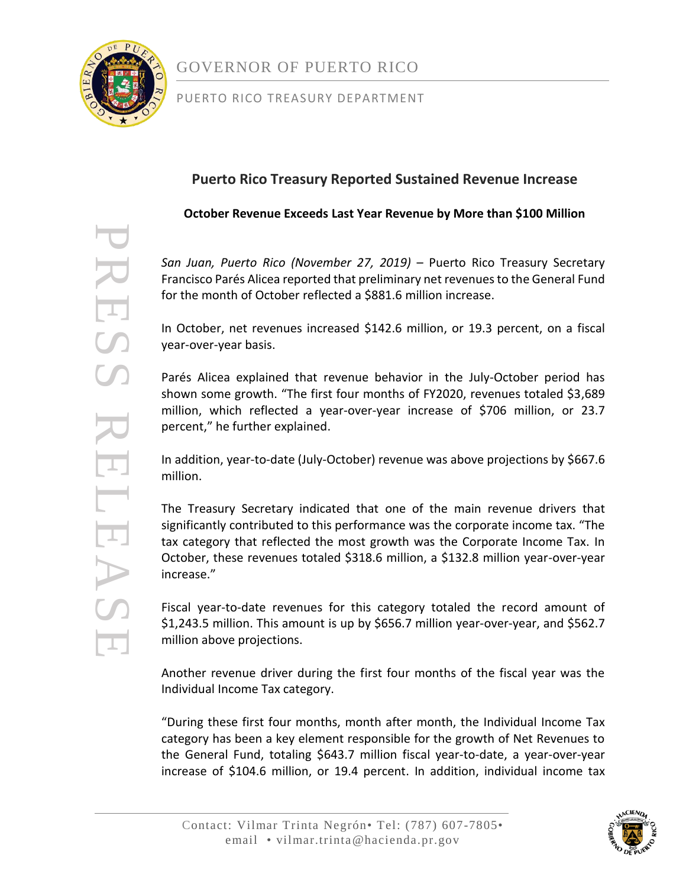

#### PUERTO RICO TREASURY DEPARTMENT

### **Puerto Rico Treasury Reported Sustained Revenue Increase**

**October Revenue Exceeds Last Year Revenue by More than \$100 Million**

*San Juan, Puerto Rico (November 27, 2019)* – Puerto Rico Treasury Secretary Francisco Parés Alicea reported that preliminary net revenues to the General Fund for the month of October reflected a \$881.6 million increase.

In October, net revenues increased \$142.6 million, or 19.3 percent, on a fiscal year-over-year basis.

Parés Alicea explained that revenue behavior in the July-October period has shown some growth. "The first four months of FY2020, revenues totaled \$3,689 million, which reflected a year-over-year increase of \$706 million, or 23.7 percent," he further explained.

In addition, year-to-date (July-October) revenue was above projections by \$667.6 million.

The Treasury Secretary indicated that one of the main revenue drivers that significantly contributed to this performance was the corporate income tax. "The tax category that reflected the most growth was the Corporate Income Tax. In October, these revenues totaled \$318.6 million, a \$132.8 million year-over-year increase."

Fiscal year-to-date revenues for this category totaled the record amount of \$1,243.5 million. This amount is up by \$656.7 million year-over-year, and \$562.7 million above projections.

Another revenue driver during the first four months of the fiscal year was the Individual Income Tax category.

"During these first four months, month after month, the Individual Income Tax category has been a key element responsible for the growth of Net Revenues to the General Fund, totaling \$643.7 million fiscal year-to-date, a year-over-year increase of \$104.6 million, or 19.4 percent. In addition, individual income tax

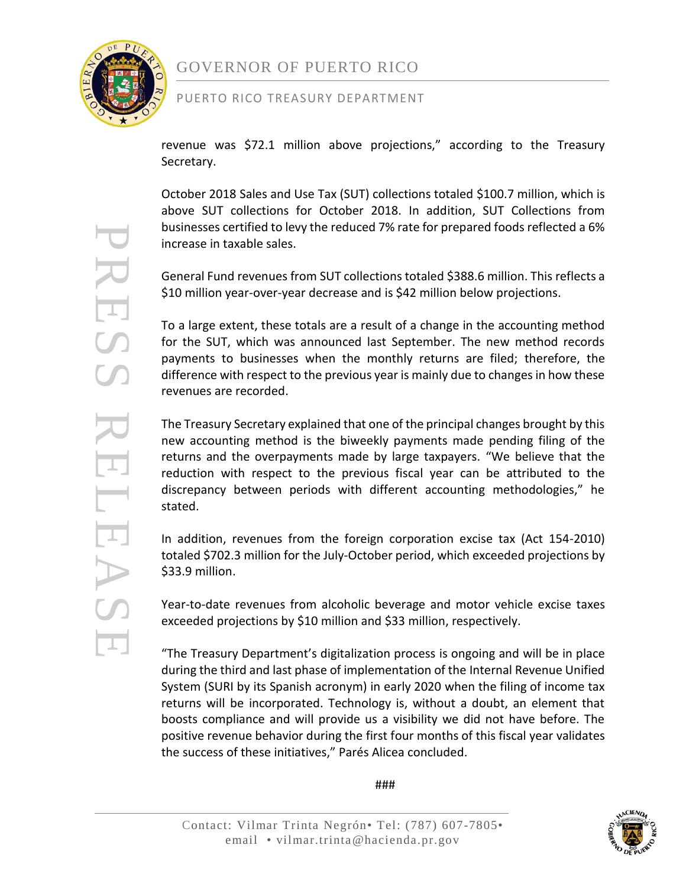

#### PUERTO RICO TREASURY DEPARTMENT

revenue was \$72.1 million above projections," according to the Treasury Secretary.

October 2018 Sales and Use Tax (SUT) collections totaled \$100.7 million, which is above SUT collections for October 2018. In addition, SUT Collections from businesses certified to levy the reduced 7% rate for prepared foods reflected a 6% increase in taxable sales.

General Fund revenues from SUT collections totaled \$388.6 million. This reflects a \$10 million year-over-year decrease and is \$42 million below projections.

To a large extent, these totals are a result of a change in the accounting method for the SUT, which was announced last September. The new method records payments to businesses when the monthly returns are filed; therefore, the difference with respect to the previous year is mainly due to changes in how these revenues are recorded.

The Treasury Secretary explained that one of the principal changes brought by this new accounting method is the biweekly payments made pending filing of the returns and the overpayments made by large taxpayers. "We believe that the reduction with respect to the previous fiscal year can be attributed to the discrepancy between periods with different accounting methodologies," he stated.

In addition, revenues from the foreign corporation excise tax (Act 154-2010) totaled \$702.3 million for the July-October period, which exceeded projections by \$33.9 million.

Year-to-date revenues from alcoholic beverage and motor vehicle excise taxes exceeded projections by \$10 million and \$33 million, respectively.

"The Treasury Department's digitalization process is ongoing and will be in place during the third and last phase of implementation of the Internal Revenue Unified System (SURI by its Spanish acronym) in early 2020 when the filing of income tax returns will be incorporated. Technology is, without a doubt, an element that boosts compliance and will provide us a visibility we did not have before. The positive revenue behavior during the first four months of this fiscal year validates the success of these initiatives," Parés Alicea concluded.

###

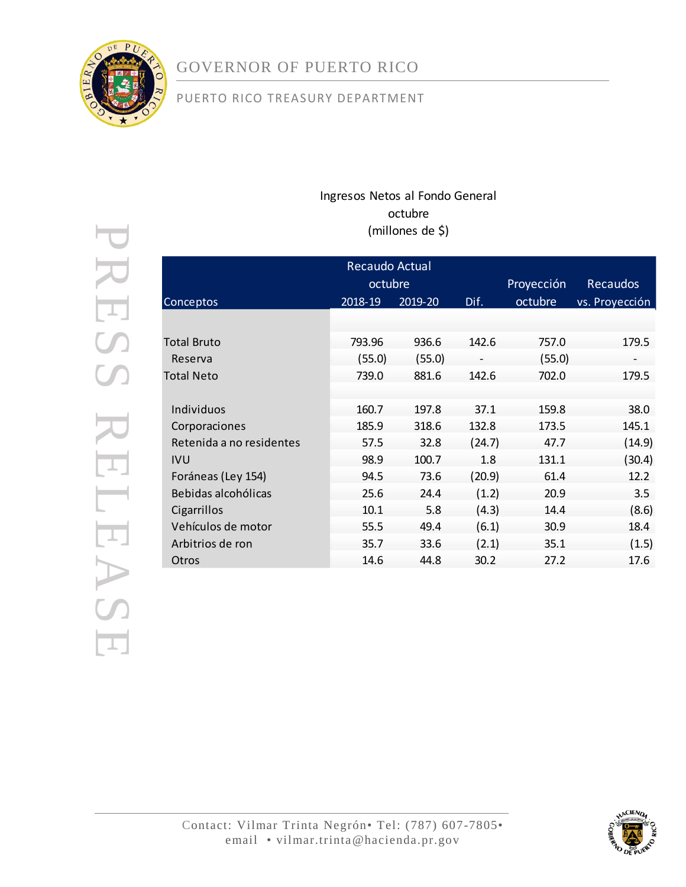

### PUERTO RICO TREASURY DEPARTMENT

### Ingresos Netos al Fondo General octubre (millones de \$)

| Recaudo Actual           |         |         |        |            |                 |  |  |  |  |
|--------------------------|---------|---------|--------|------------|-----------------|--|--|--|--|
|                          | octubre |         |        | Proyección | <b>Recaudos</b> |  |  |  |  |
| Conceptos                | 2018-19 | 2019-20 | Dif.   | octubre    | vs. Proyección  |  |  |  |  |
|                          |         |         |        |            |                 |  |  |  |  |
| Total Bruto              | 793.96  | 936.6   | 142.6  | 757.0      | 179.5           |  |  |  |  |
| Reserva                  | (55.0)  | (55.0)  |        | (55.0)     |                 |  |  |  |  |
| Total Neto               | 739.0   | 881.6   | 142.6  | 702.0      | 179.5           |  |  |  |  |
|                          |         |         |        |            |                 |  |  |  |  |
| Individuos               | 160.7   | 197.8   | 37.1   | 159.8      | 38.0            |  |  |  |  |
| Corporaciones            | 185.9   | 318.6   | 132.8  | 173.5      | 145.1           |  |  |  |  |
| Retenida a no residentes | 57.5    | 32.8    | (24.7) | 47.7       | (14.9)          |  |  |  |  |
| <b>IVU</b>               | 98.9    | 100.7   | 1.8    | 131.1      | (30.4)          |  |  |  |  |
| Foráneas (Ley 154)       | 94.5    | 73.6    | (20.9) | 61.4       | 12.2            |  |  |  |  |
| Bebidas alcohólicas      | 25.6    | 24.4    | (1.2)  | 20.9       | 3.5             |  |  |  |  |
| Cigarrillos              | 10.1    | 5.8     | (4.3)  | 14.4       | (8.6)           |  |  |  |  |
| Vehículos de motor       | 55.5    | 49.4    | (6.1)  | 30.9       | 18.4            |  |  |  |  |
| Arbitrios de ron         | 35.7    | 33.6    | (2.1)  | 35.1       | (1.5)           |  |  |  |  |
| Otros                    | 14.6    | 44.8    | 30.2   | 27.2       | 17.6            |  |  |  |  |